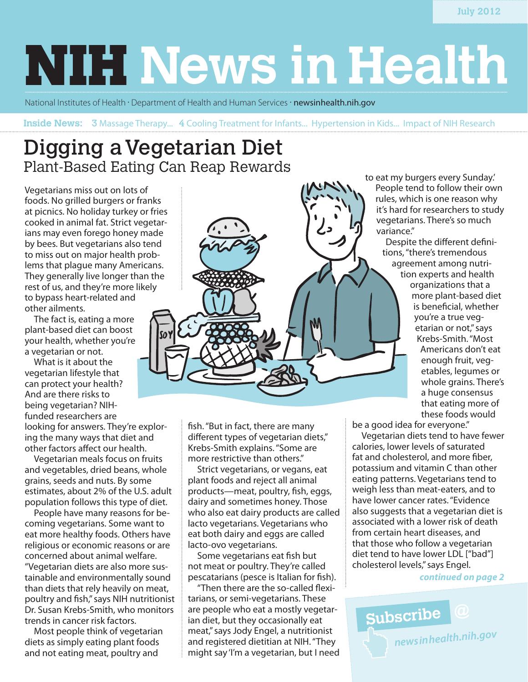**July 2012**

# **NIH News in Health**

National Institutes of Health · Department of Health and Human Services · newsinhealth.nih.gov

**Inside News:** 3 Massage Therapy... 4 Cooling Treatment for Infants... Hypertension in Kids... Impact of NIH Research

# Digging a Vegetarian Diet Plant-Based Eating Can Reap Rewards

Vegetarians miss out on lots of foods. No grilled burgers or franks at picnics. No holiday turkey or fries cooked in animal fat. Strict vegetarians may even forego honey made by bees. But vegetarians also tend to miss out on major health problems that plague many Americans. They generally live longer than the rest of us, and they're more likely to bypass heart-related and other ailments.

The fact is, eating a more plant-based diet can boost your health, whether you're a vegetarian or not.

What is it about the vegetarian lifestyle that can protect your health? And are there risks to being vegetarian? NIHfunded researchers are looking for answers. They're exploring the many ways that diet and other factors affect our health.

Vegetarian meals focus on fruits and vegetables, dried beans, whole grains, seeds and nuts. By some estimates, about 2% of the U.S. adult population follows this type of diet.

People have many reasons for becoming vegetarians. Some want to eat more healthy foods. Others have religious or economic reasons or are concerned about animal welfare. "Vegetarian diets are also more sustainable and environmentally sound than diets that rely heavily on meat, poultry and fish," says NIH nutritionist Dr. Susan Krebs-Smith, who monitors trends in cancer risk factors.

Most people think of vegetarian diets as simply eating plant foods and not eating meat, poultry and



fish. "But in fact, there are many different types of vegetarian diets," Krebs-Smith explains. "Some are more restrictive than others."

Strict vegetarians, or vegans, eat plant foods and reject all animal products—meat, poultry, fish, eggs, dairy and sometimes honey. Those who also eat dairy products are called lacto vegetarians. Vegetarians who eat both dairy and eggs are called lacto-ovo vegetarians.

Some vegetarians eat fish but not meat or poultry. They're called pescatarians (pesce is Italian for fish).

"Then there are the so-called flexitarians, or semi-vegetarians. These are people who eat a mostly vegetarian diet, but they occasionally eat meat," says Jody Engel, a nutritionist and registered dietitian at NIH. "They might say 'I'm a vegetarian, but I need to eat my burgers every Sunday.' People tend to follow their own rules, which is one reason why it's hard for researchers to study vegetarians. There's so much variance."

Despite the different definitions, "there's tremendous agreement among nutrition experts and health organizations that a more plant-based diet is beneficial, whether you're a true vegetarian or not," says Krebs-Smith. "Most Americans don't eat enough fruit, vegetables, legumes or whole grains. There's a huge consensus that eating more of these foods would

be a good idea for everyone."

Vegetarian diets tend to have fewer calories, lower levels of saturated fat and cholesterol, and more fiber, potassium and vitamin C than other eating patterns. Vegetarians tend to weigh less than meat-eaters, and to have lower cancer rates. "Evidence also suggests that a vegetarian diet is associated with a lower risk of death from certain heart diseases, and that those who follow a vegetarian diet tend to have lower LDL ["bad"] cholesterol levels," says Engel.

*continued on page 2*

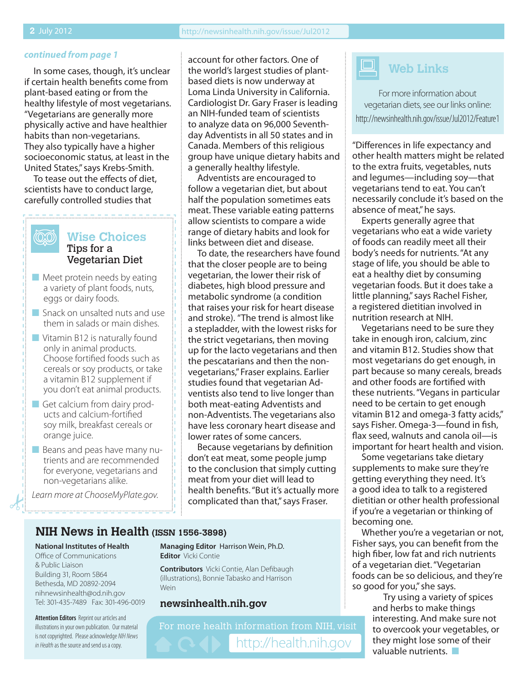(QQ)

#### *continued from page 1*

In some cases, though, it's unclear if certain health benefits come from plant-based eating or from the healthy lifestyle of most vegetarians. "Vegetarians are generally more physically active and have healthier habits than non-vegetarians. They also typically have a higher socioeconomic status, at least in the United States," says Krebs-Smith.

To tease out the effects of diet, scientists have to conduct large, carefully controlled studies that

#### **Wise Choices** Tips for a Vegetarian Diet

- $\blacksquare$  Meet protein needs by eating a variety of plant foods, nuts, eggs or dairy foods.
- $\blacksquare$  Snack on unsalted nuts and use them in salads or main dishes.
- $\blacksquare$  Vitamin B12 is naturally found only in animal products. Choose fortified foods such as cereals or soy products, or take a vitamin B12 supplement if you don't eat animal products.
- $\Box$  Get calcium from dairy products and calcium-fortified soy milk, breakfast cereals or orange juice.
- $\blacksquare$  Beans and peas have many nutrients and are recommended for everyone, vegetarians and non-vegetarians alike.

*Learn more at ChooseMyPlate.gov.*

account for other factors. One of the world's largest studies of plantbased diets is now underway at Loma Linda University in California. Cardiologist Dr. Gary Fraser is leading an NIH-funded team of scientists to analyze data on 96,000 Seventhday Adventists in all 50 states and in Canada. Members of this religious group have unique dietary habits and a generally healthy lifestyle.

Adventists are encouraged to follow a vegetarian diet, but about half the population sometimes eats meat. These variable eating patterns allow scientists to compare a wide range of dietary habits and look for links between diet and disease.

To date, the researchers have found that the closer people are to being vegetarian, the lower their risk of diabetes, high blood pressure and metabolic syndrome (a condition that raises your risk for heart disease and stroke). "The trend is almost like a stepladder, with the lowest risks for the strict vegetarians, then moving up for the lacto vegetarians and then the pescatarians and then the nonvegetarians," Fraser explains. Earlier studies found that vegetarian Adventists also tend to live longer than both meat-eating Adventists and non-Adventists. The vegetarians also have less coronary heart disease and lower rates of some cancers.

Because vegetarians by definition don't eat meat, some people jump to the conclusion that simply cutting meat from your diet will lead to health benefits. "But it's actually more complicated than that," says Fraser.

#### **NIH News in Health (ISSN 1556-3898)**

#### **National Institutes of Health**

Office of Communications & Public Liaison Building 31, Room 5B64 Bethesda, MD 20892-2094 nihnewsinhealth@od.nih.gov Tel: 301-435-7489 Fax: 301-496-0019

**Attention Editors** Reprint our articles and illustrations in your own publication. Our material is not copyrighted. Please acknowledge *NIH News in Health* as the source and send us a copy.

**Managing Editor** Harrison Wein, Ph.D. **Editor** Vicki Contie

**Contributors** Vicki Contie, Alan Defibaugh (illustrations), Bonnie Tabasko and Harrison **Wein** 

#### **newsinhealth.nih.gov**

For more health information from NIH, visit http://health.nih.gov

## **Web Links**

For more information about vegetarian diets, see our links online: http://newsinhealth.nih.gov/issue/Jul2012/Feature1

"Differences in life expectancy and other health matters might be related to the extra fruits, vegetables, nuts and legumes—including soy—that vegetarians tend to eat. You can't necessarily conclude it's based on the absence of meat," he says.

Experts generally agree that vegetarians who eat a wide variety of foods can readily meet all their body's needs for nutrients. "At any stage of life, you should be able to eat a healthy diet by consuming vegetarian foods. But it does take a little planning," says Rachel Fisher, a registered dietitian involved in nutrition research at NIH.

Vegetarians need to be sure they take in enough iron, calcium, zinc and vitamin B12. Studies show that most vegetarians do get enough, in part because so many cereals, breads and other foods are fortified with these nutrients. "Vegans in particular need to be certain to get enough vitamin B12 and omega-3 fatty acids," says Fisher. Omega-3—found in fish, flax seed, walnuts and canola oil—is important for heart health and vision.

Some vegetarians take dietary supplements to make sure they're getting everything they need. It's a good idea to talk to a registered dietitian or other health professional if you're a vegetarian or thinking of becoming one.

Whether you're a vegetarian or not, Fisher says, you can benefit from the high fiber, low fat and rich nutrients of a vegetarian diet. "Vegetarian foods can be so delicious, and they're so good for you," she says.

> Try using a variety of spices and herbs to make things interesting. And make sure not to overcook your vegetables, or they might lose some of their valuable nutrients.  $\blacksquare$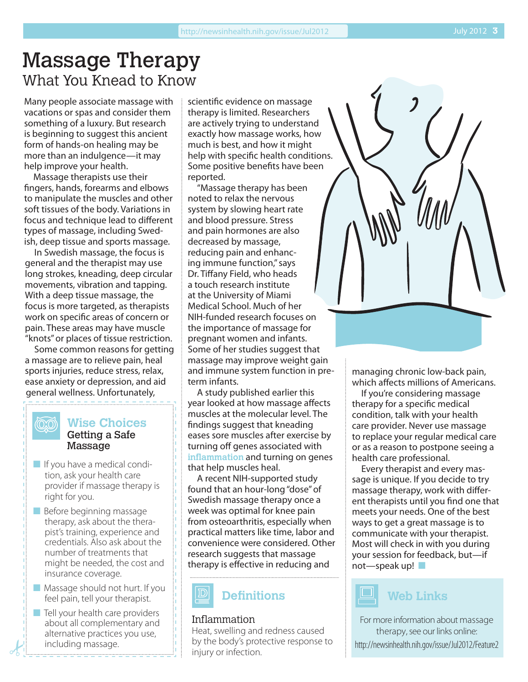# Massage Therapy What You Knead to Know

Many people associate massage with vacations or spas and consider them something of a luxury. But research is beginning to suggest this ancient form of hands-on healing may be more than an indulgence—it may help improve your health.

Massage therapists use their fingers, hands, forearms and elbows to manipulate the muscles and other soft tissues of the body. Variations in focus and technique lead to different types of massage, including Swedish, deep tissue and sports massage.

In Swedish massage, the focus is general and the therapist may use long strokes, kneading, deep circular movements, vibration and tapping. With a deep tissue massage, the focus is more targeted, as therapists work on specific areas of concern or pain. These areas may have muscle "knots" or places of tissue restriction.

Some common reasons for getting a massage are to relieve pain, heal sports injuries, reduce stress, relax, ease anxiety or depression, and aid general wellness. Unfortunately,

#### **Wise Choices** Getting a Safe **Massage**

(OO)

- **n** If you have a medical condition, ask your health care provider if massage therapy is right for you.
- $\blacksquare$  Before beginning massage therapy, ask about the therapist's training, experience and credentials. Also ask about the number of treatments that might be needed, the cost and insurance coverage.
- $\blacksquare$  Massage should not hurt. If you feel pain, tell your therapist.
- $\blacksquare$  Tell your health care providers about all complementary and alternative practices you use, including massage.

scientific evidence on massage therapy is limited. Researchers are actively trying to understand exactly how massage works, how much is best, and how it might help with specific health conditions. Some positive benefits have been reported.

"Massage therapy has been noted to relax the nervous system by slowing heart rate and blood pressure. Stress and pain hormones are also decreased by massage, reducing pain and enhancing immune function," says Dr. Tiffany Field, who heads a touch research institute at the University of Miami Medical School. Much of her NIH-funded research focuses on the importance of massage for pregnant women and infants. Some of her studies suggest that massage may improve weight gain and immune system function in preterm infants.

A study published earlier this year looked at how massage affects muscles at the molecular level. The findings suggest that kneading eases sore muscles after exercise by turning off genes associated with **inflammation** and turning on genes that help muscles heal.

A recent NIH-supported study found that an hour-long "dose" of Swedish massage therapy once a week was optimal for knee pain from osteoarthritis, especially when practical matters like time, labor and convenience were considered. Other research suggests that massage therapy is effective in reducing and



#### Inflammation

Heat, swelling and redness caused by the body's protective response to injury or infection.

managing chronic low-back pain, which affects millions of Americans.

If you're considering massage therapy for a specific medical condition, talk with your health care provider. Never use massage to replace your regular medical care or as a reason to postpone seeing a health care professional.

Every therapist and every massage is unique. If you decide to try massage therapy, work with different therapists until you find one that meets your needs. One of the best ways to get a great massage is to communicate with your therapist. Most will check in with you during your session for feedback, but—if not—speak up!  $\Box$ 



For more information about massage therapy, see our links online: http://newsinhealth.nih.gov/issue/Jul2012/Feature2